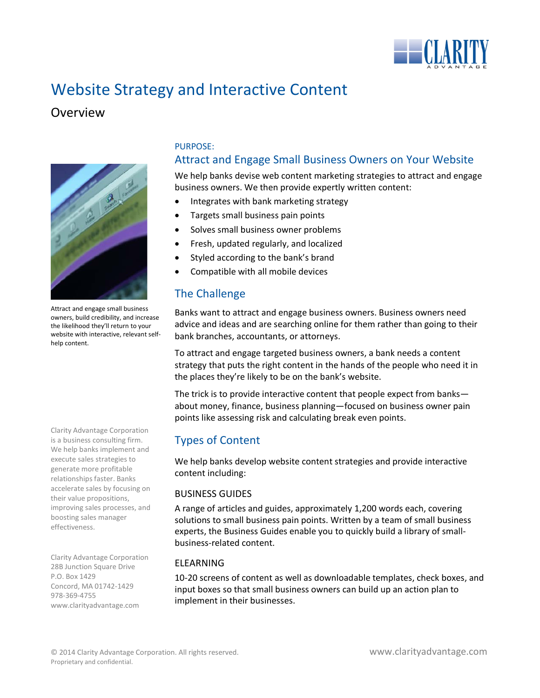

# Website Strategy and Interactive Content

# Overview



Attract and engage small business owners, build credibility, and increase the likelihood they'll return to your website with interactive, relevant selfhelp content.

Clarity Advantage Corporation is a business consulting firm. We help banks implement and execute sales strategies to generate more profitable relationships faster. Banks accelerate sales by focusing on their value propositions, improving sales processes, and boosting sales manager effectiveness.

Clarity Advantage Corporation 28B Junction Square Drive P.O. Box 1429 Concord, MA 01742-1429 978-369-4755 www.clarityadvantage.com

## PURPOSE:

# Attract and Engage Small Business Owners on Your Website

We help banks devise web content marketing strategies to attract and engage business owners. We then provide expertly written content:

- Integrates with bank marketing strategy
- Targets small business pain points
- Solves small business owner problems
- Fresh, updated regularly, and localized
- Styled according to the bank's brand
- Compatible with all mobile devices

# The Challenge

Banks want to attract and engage business owners. Business owners need advice and ideas and are searching online for them rather than going to their bank branches, accountants, or attorneys.

To attract and engage targeted business owners, a bank needs a content strategy that puts the right content in the hands of the people who need it in the places they're likely to be on the bank's website.

The trick is to provide interactive content that people expect from banks about money, finance, business planning—focused on business owner pain points like assessing risk and calculating break even points.

# Types of Content

We help banks develop website content strategies and provide interactive content including:

## BUSINESS GUIDES

A range of articles and guides, approximately 1,200 words each, covering solutions to small business pain points. Written by a team of small business experts, the Business Guides enable you to quickly build a library of smallbusiness-related content.

## ELEARNING

10-20 screens of content as well as downloadable templates, check boxes, and input boxes so that small business owners can build up an action plan to implement in their businesses.